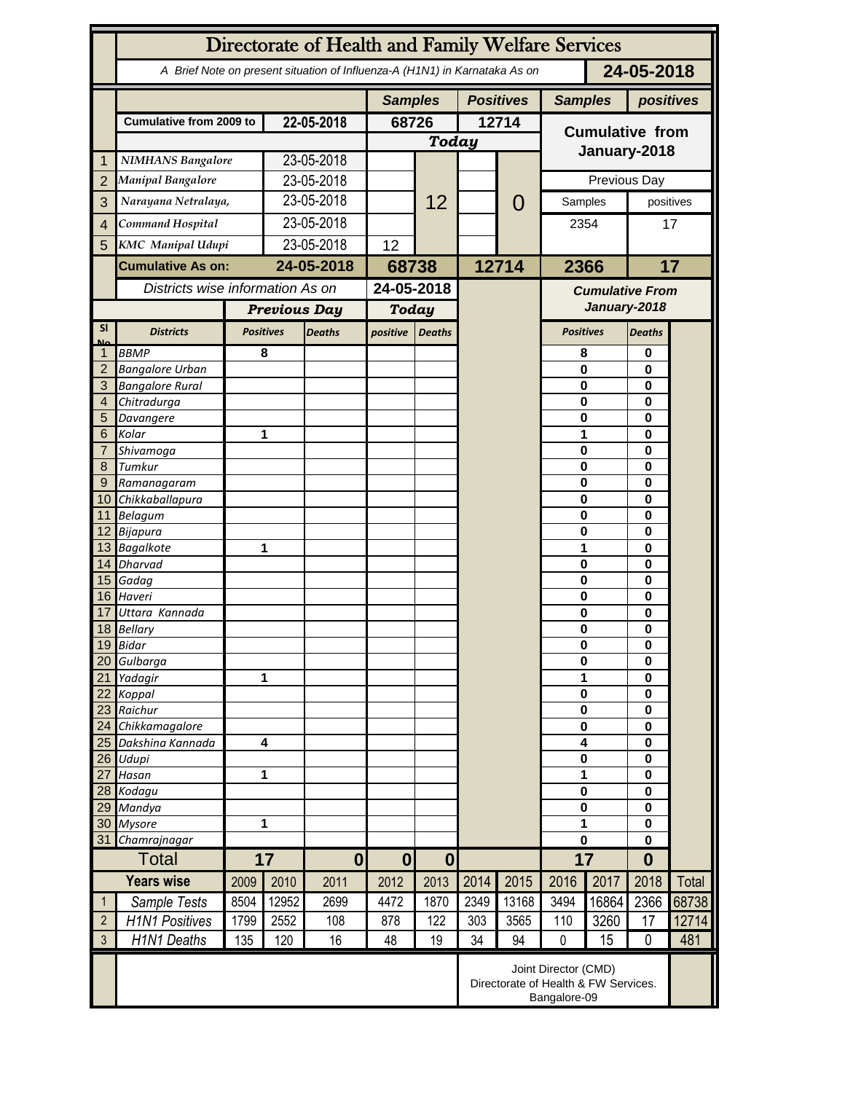|                 | Directorate of Health and Family Welfare Services                                        |                  |                         |               |                              |                  |       |                |                                                                              |          |                      |              |  |
|-----------------|------------------------------------------------------------------------------------------|------------------|-------------------------|---------------|------------------------------|------------------|-------|----------------|------------------------------------------------------------------------------|----------|----------------------|--------------|--|
|                 | 24-05-2018<br>A Brief Note on present situation of Influenza-A (H1N1) in Karnataka As on |                  |                         |               |                              |                  |       |                |                                                                              |          |                      |              |  |
|                 |                                                                                          |                  | <b>Samples</b>          |               |                              | <b>Positives</b> |       | <b>Samples</b> | positives                                                                    |          |                      |              |  |
|                 | <b>Cumulative from 2009 to</b>                                                           |                  | 22-05-2018              |               | 68726                        |                  | 12714 |                | <b>Cumulative from</b>                                                       |          |                      |              |  |
|                 |                                                                                          |                  |                         |               | <b>Today</b>                 |                  |       |                |                                                                              |          |                      |              |  |
| 1               | <b>NIMHANS Bangalore</b>                                                                 |                  | 23-05-2018              |               |                              |                  |       |                | January-2018                                                                 |          |                      |              |  |
| $\overline{2}$  | <b>Manipal Bangalore</b>                                                                 |                  | 23-05-2018              |               |                              |                  |       |                | Previous Day                                                                 |          |                      |              |  |
| 3               | Narayana Netralaya,                                                                      |                  | 23-05-2018              |               |                              | 12               |       | $\mathcal{O}$  | Samples                                                                      |          | positives            |              |  |
|                 | Command Hospital                                                                         |                  | 23-05-2018              |               |                              |                  |       |                | 2354                                                                         |          |                      |              |  |
| $\overline{4}$  |                                                                                          |                  |                         |               |                              |                  |       |                |                                                                              |          | 17                   |              |  |
| 5               | <b>KMC</b> Manipal Udupi                                                                 |                  | 23-05-2018              |               | 12                           |                  |       |                |                                                                              |          |                      |              |  |
|                 | <b>Cumulative As on:</b>                                                                 |                  | 24-05-2018              |               | 68738                        |                  | 12714 |                | 2366                                                                         |          |                      | 17           |  |
|                 | Districts wise information As on                                                         |                  |                         |               | 24-05-2018                   |                  |       |                | <b>Cumulative From</b><br>January-2018                                       |          |                      |              |  |
|                 |                                                                                          |                  | <b>Previous Day</b>     |               | <b>Today</b>                 |                  |       |                |                                                                              |          |                      |              |  |
| <b>SI</b>       | <b>Districts</b>                                                                         | <b>Positives</b> |                         | <b>Deaths</b> | positive                     | <b>Deaths</b>    |       |                | <b>Positives</b>                                                             |          | <b>Deaths</b>        |              |  |
| Mz              | <b>BBMP</b>                                                                              |                  | 8                       |               |                              |                  |       |                | 8                                                                            |          | 0                    |              |  |
| $\overline{2}$  | <b>Bangalore Urban</b>                                                                   |                  |                         |               |                              |                  |       |                | $\mathbf{0}$                                                                 |          | 0                    |              |  |
| 3               | <b>Bangalore Rural</b>                                                                   |                  |                         |               |                              |                  |       |                | 0                                                                            |          | $\bf{0}$             |              |  |
| 4               | Chitradurga                                                                              |                  |                         |               |                              |                  |       |                | 0                                                                            |          | 0                    |              |  |
| 5               | Davangere                                                                                |                  |                         |               |                              |                  |       |                | 0                                                                            |          | 0                    |              |  |
| 6               | Kolar                                                                                    |                  |                         | 1             |                              |                  |       |                | 1                                                                            |          | 0                    | 0            |  |
| 7               | Shivamoga                                                                                |                  |                         |               |                              |                  |       |                | $\mathbf 0$                                                                  |          |                      |              |  |
| 8<br>9          | Tumkur                                                                                   | Ramanagaram      |                         |               |                              |                  |       |                | $\mathbf 0$<br>$\mathbf 0$                                                   |          | 0<br>0               |              |  |
| 10 <sup>°</sup> | Chikkaballapura                                                                          |                  |                         |               |                              |                  |       |                | 0                                                                            |          | 0                    |              |  |
|                 | 11 Belagum                                                                               |                  |                         |               |                              |                  |       |                | 0                                                                            |          | 0                    |              |  |
|                 | 12 Bijapura                                                                              |                  |                         |               |                              |                  |       |                | 0                                                                            |          | $\bf{0}$             |              |  |
|                 | 13 Bagalkote                                                                             |                  | 1                       |               |                              |                  |       |                | 1                                                                            |          | $\bf{0}$             |              |  |
|                 | 14 Dharvad                                                                               |                  |                         |               |                              |                  |       |                | $\mathbf 0$                                                                  |          | 0                    |              |  |
|                 | 15 Gadag                                                                                 |                  |                         |               |                              |                  |       |                | $\mathbf 0$                                                                  |          | 0                    |              |  |
| 17              | 16 Haveri<br>Uttara Kannada                                                              |                  |                         |               |                              |                  |       |                | $\mathbf 0$<br>0                                                             |          | $\bf{0}$<br>0        |              |  |
|                 | 18 Bellary                                                                               |                  |                         |               |                              |                  |       |                | 0                                                                            |          |                      | 0            |  |
|                 | 19 Bidar                                                                                 |                  |                         |               |                              |                  |       |                | $\pmb{0}$                                                                    |          | 0                    |              |  |
| 20              | Gulbarga                                                                                 |                  |                         |               |                              |                  |       |                | $\bf{0}$                                                                     |          | 0                    |              |  |
| 21              | Yadagir                                                                                  | 1                |                         |               |                              |                  |       |                |                                                                              | 1        |                      |              |  |
| 22              | Koppal                                                                                   |                  |                         |               |                              |                  |       |                |                                                                              | $\bf{0}$ |                      |              |  |
| 23              | Raichur                                                                                  |                  |                         |               |                              |                  |       |                |                                                                              | $\bf{0}$ |                      |              |  |
| 24<br>25        | Chikkamagalore<br>Dakshina Kannada                                                       |                  | $\overline{\mathbf{4}}$ |               |                              |                  |       |                | $\bf{0}$<br>4                                                                |          | $\bf{0}$<br>$\bf{0}$ |              |  |
| 26              | Udupi                                                                                    |                  |                         |               |                              |                  |       |                | $\pmb{0}$                                                                    | $\bf{0}$ |                      |              |  |
| 27              | Hasan                                                                                    | 1                |                         |               |                              |                  |       |                | 1                                                                            |          | $\bf{0}$             |              |  |
|                 | 28 Kodagu                                                                                |                  |                         |               |                              |                  |       |                | $\pmb{0}$                                                                    |          | $\bf{0}$             |              |  |
| 29              | Mandya                                                                                   |                  |                         |               |                              |                  |       |                | $\bf{0}$                                                                     |          | $\bf{0}$             |              |  |
| 30              | <b>Mysore</b>                                                                            |                  | 1                       |               |                              |                  |       |                | 1                                                                            |          | $\bf{0}$             |              |  |
| 31              | Chamrajnagar                                                                             |                  |                         |               |                              |                  |       |                | 0                                                                            |          | $\bf{0}$             |              |  |
| <b>Total</b>    |                                                                                          | 17               |                         | $\mathbf{0}$  | $\bf{0}$<br>$\boldsymbol{0}$ |                  |       |                | 17                                                                           |          | $\bf{0}$             |              |  |
|                 | <b>Years wise</b>                                                                        | 2009             | 2010                    | 2011          | 2012                         | 2013             | 2014  | 2015           | 2016                                                                         | 2017     | 2018                 | <b>Total</b> |  |
| $\mathbf{1}$    | Sample Tests                                                                             | 8504             | 12952                   | 2699          | 4472                         | 1870             | 2349  | 13168          | 3494                                                                         | 16864    | 2366                 | 68738        |  |
| $\overline{2}$  | <b>H1N1 Positives</b>                                                                    | 1799             | 2552                    | 108           | 878                          | 122              | 303   | 3565           | 110                                                                          | 3260     | 17                   | 12714        |  |
| $\mathfrak{Z}$  | H1N1 Deaths                                                                              | 135              | 120                     | 16            | 48                           | 19               | 34    | 94             | $\mathbf 0$                                                                  | 15       | $\mathbf 0$          | 481          |  |
|                 |                                                                                          |                  |                         |               |                              |                  |       |                | Joint Director (CMD)<br>Directorate of Health & FW Services.<br>Bangalore-09 |          |                      |              |  |